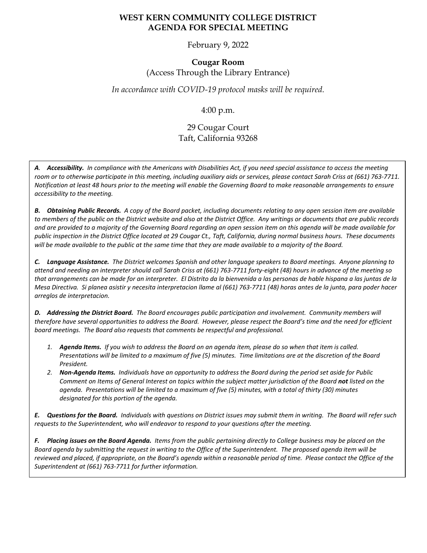## **WEST KERN COMMUNITY COLLEGE DISTRICT AGENDA FOR SPECIAL MEETING**

February 9, 2022

## **Cougar Room** (Access Through the Library Entrance)

#### *In accordance with COVID-19 protocol masks will be required.*

4:00 p.m.

# 29 Cougar Court Taft, California 93268

*A. Accessibility. In compliance with the Americans with Disabilities Act, if you need special assistance to access the meeting room or to otherwise participate in this meeting, including auxiliary aids or services, please contact Sarah Criss at (661) 763-7711. Notification at least 48 hours prior to the meeting will enable the Governing Board to make reasonable arrangements to ensure accessibility to the meeting.*

*B. Obtaining Public Records. A copy of the Board packet, including documents relating to any open session item are available to members of the public on the District website and also at the District Office. Any writings or documents that are public records and are provided to a majority of the Governing Board regarding an open session item on this agenda will be made available for public inspection in the District Office located at 29 Cougar Ct., Taft, California, during normal business hours. These documents will be made available to the public at the same time that they are made available to a majority of the Board.*

*C. Language Assistance. The District welcomes Spanish and other language speakers to Board meetings. Anyone planning to attend and needing an interpreter should call Sarah Criss at (661) 763-7711 forty-eight (48) hours in advance of the meeting so that arrangements can be made for an interpreter. El Distrito da la bienvenida a las personas de hable hispana a las juntas de la Mesa Directiva. Si planea asistir y necesita interpretacion llame al (661) 763-7711 (48) horas antes de la junta, para poder hacer arreglos de interpretacion.*

*D. Addressing the District Board. The Board encourages public participation and involvement. Community members will therefore have several opportunities to address the Board. However, please respect the Board's time and the need for efficient board meetings. The Board also requests that comments be respectful and professional.*

- *1. Agenda Items. If you wish to address the Board on an agenda item, please do so when that item is called. Presentations will be limited to a maximum of five (5) minutes. Time limitations are at the discretion of the Board President.*
- *2. Non-Agenda Items. Individuals have an opportunity to address the Board during the period set aside for Public Comment on Items of General Interest on topics within the subject matter jurisdiction of the Board not listed on the agenda. Presentations will be limited to a maximum of five (5) minutes, with a total of thirty (30) minutes designated for this portion of the agenda.*

*E. Questions for the Board. Individuals with questions on District issues may submit them in writing. The Board will refer such requests to the Superintendent, who will endeavor to respond to your questions after the meeting.*

*F. Placing issues on the Board Agenda. Items from the public pertaining directly to College business may be placed on the Board agenda by submitting the request in writing to the Office of the Superintendent. The proposed agenda item will be reviewed and placed, if appropriate, on the Board's agenda within a reasonable period of time. Please contact the Office of the Superintendent at (661) 763-7711 for further information.*